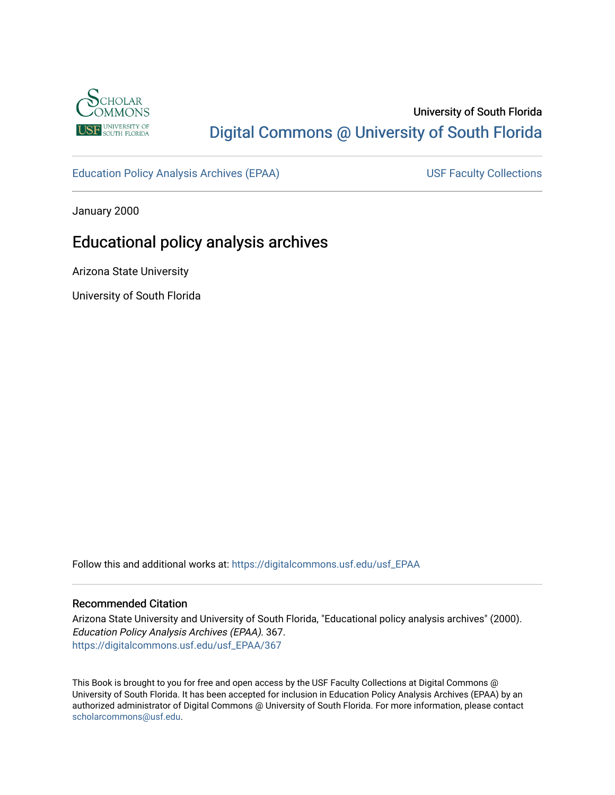

# University of South Florida [Digital Commons @ University of South Florida](https://digitalcommons.usf.edu/)

[Education Policy Analysis Archives \(EPAA\)](https://digitalcommons.usf.edu/usf_EPAA) USF Faculty Collections

January 2000

# Educational policy analysis archives

Arizona State University

University of South Florida

Follow this and additional works at: [https://digitalcommons.usf.edu/usf\\_EPAA](https://digitalcommons.usf.edu/usf_EPAA?utm_source=digitalcommons.usf.edu%2Fusf_EPAA%2F367&utm_medium=PDF&utm_campaign=PDFCoverPages)

#### Recommended Citation

Arizona State University and University of South Florida, "Educational policy analysis archives" (2000). Education Policy Analysis Archives (EPAA). 367. [https://digitalcommons.usf.edu/usf\\_EPAA/367](https://digitalcommons.usf.edu/usf_EPAA/367?utm_source=digitalcommons.usf.edu%2Fusf_EPAA%2F367&utm_medium=PDF&utm_campaign=PDFCoverPages)

This Book is brought to you for free and open access by the USF Faculty Collections at Digital Commons @ University of South Florida. It has been accepted for inclusion in Education Policy Analysis Archives (EPAA) by an authorized administrator of Digital Commons @ University of South Florida. For more information, please contact [scholarcommons@usf.edu.](mailto:scholarcommons@usf.edu)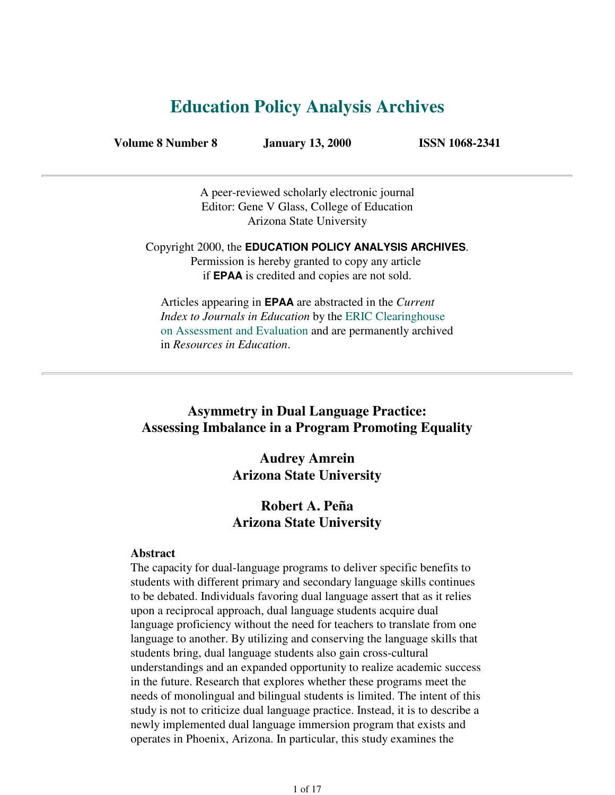# **Education Policy Analysis Archives**

**Volume 8 Number 8 January 13, 2000 ISSN 1068-2341**

A peer-reviewed scholarly electronic journal Editor: Gene V Glass, College of Education Arizona State University

Copyright 2000, the **EDUCATION POLICY ANALYSIS ARCHIVES**. Permission is hereby granted to copy any article if **EPAA** is credited and copies are not sold.

Articles appearing in **EPAA** are abstracted in the *Current Index to Journals in Education* by the ERIC Clearinghouse on Assessment and Evaluation and are permanently archived in *Resources in Education*.

# **Asymmetry in Dual Language Practice: Assessing Imbalance in a Program Promoting Equality**

**Audrey Amrein Arizona State University**

# **Robert A. Peña Arizona State University**

#### **Abstract**

The capacity for dual-language programs to deliver specific benefits to students with different primary and secondary language skills continues to be debated. Individuals favoring dual language assert that as it relies upon a reciprocal approach, dual language students acquire dual language proficiency without the need for teachers to translate from one language to another. By utilizing and conserving the language skills that students bring, dual language students also gain cross-cultural understandings and an expanded opportunity to realize academic success in the future. Research that explores whether these programs meet the needs of monolingual and bilingual students is limited. The intent of this study is not to criticize dual language practice. Instead, it is to describe a newly implemented dual language immersion program that exists and operates in Phoenix, Arizona. In particular, this study examines the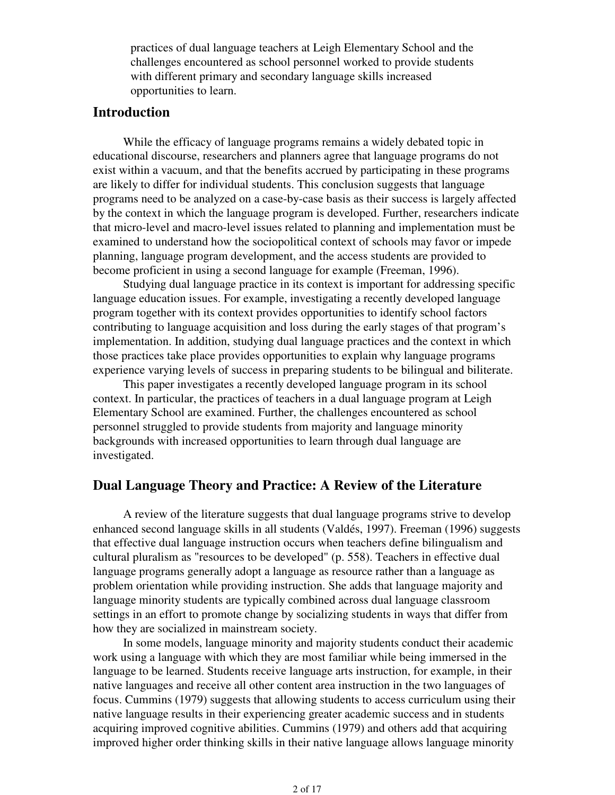practices of dual language teachers at Leigh Elementary School and the challenges encountered as school personnel worked to provide students with different primary and secondary language skills increased opportunities to learn.

# **Introduction**

 While the efficacy of language programs remains a widely debated topic in educational discourse, researchers and planners agree that language programs do not exist within a vacuum, and that the benefits accrued by participating in these programs are likely to differ for individual students. This conclusion suggests that language programs need to be analyzed on a case-by-case basis as their success is largely affected by the context in which the language program is developed. Further, researchers indicate that micro-level and macro-level issues related to planning and implementation must be examined to understand how the sociopolitical context of schools may favor or impede planning, language program development, and the access students are provided to become proficient in using a second language for example (Freeman, 1996).

 Studying dual language practice in its context is important for addressing specific language education issues. For example, investigating a recently developed language program together with its context provides opportunities to identify school factors contributing to language acquisition and loss during the early stages of that program's implementation. In addition, studying dual language practices and the context in which those practices take place provides opportunities to explain why language programs experience varying levels of success in preparing students to be bilingual and biliterate.

 This paper investigates a recently developed language program in its school context. In particular, the practices of teachers in a dual language program at Leigh Elementary School are examined. Further, the challenges encountered as school personnel struggled to provide students from majority and language minority backgrounds with increased opportunities to learn through dual language are investigated.

## **Dual Language Theory and Practice: A Review of the Literature**

 A review of the literature suggests that dual language programs strive to develop enhanced second language skills in all students (Valdés, 1997). Freeman (1996) suggests that effective dual language instruction occurs when teachers define bilingualism and cultural pluralism as "resources to be developed" (p. 558). Teachers in effective dual language programs generally adopt a language as resource rather than a language as problem orientation while providing instruction. She adds that language majority and language minority students are typically combined across dual language classroom settings in an effort to promote change by socializing students in ways that differ from how they are socialized in mainstream society.

 In some models, language minority and majority students conduct their academic work using a language with which they are most familiar while being immersed in the language to be learned. Students receive language arts instruction, for example, in their native languages and receive all other content area instruction in the two languages of focus. Cummins (1979) suggests that allowing students to access curriculum using their native language results in their experiencing greater academic success and in students acquiring improved cognitive abilities. Cummins (1979) and others add that acquiring improved higher order thinking skills in their native language allows language minority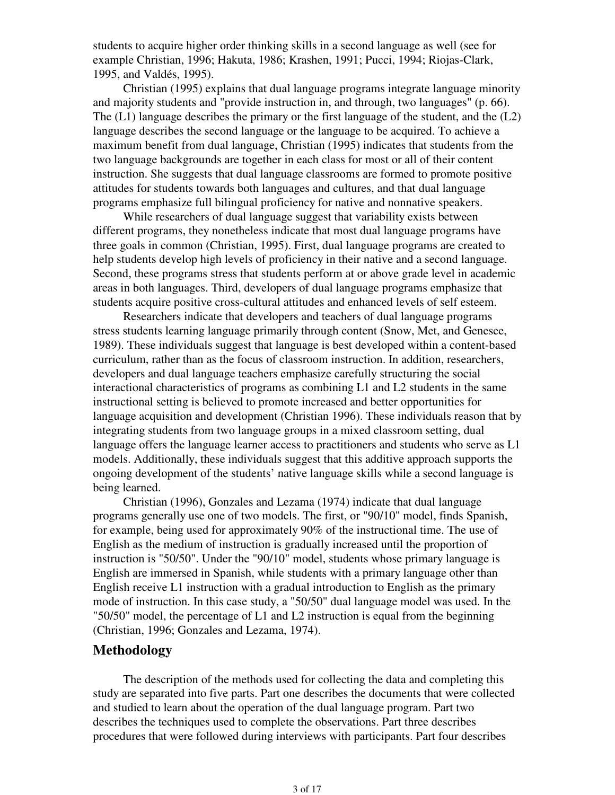students to acquire higher order thinking skills in a second language as well (see for example Christian, 1996; Hakuta, 1986; Krashen, 1991; Pucci, 1994; Riojas-Clark, 1995, and Valdés, 1995).

 Christian (1995) explains that dual language programs integrate language minority and majority students and "provide instruction in, and through, two languages" (p. 66). The  $(L1)$  language describes the primary or the first language of the student, and the  $(L2)$ language describes the second language or the language to be acquired. To achieve a maximum benefit from dual language, Christian (1995) indicates that students from the two language backgrounds are together in each class for most or all of their content instruction. She suggests that dual language classrooms are formed to promote positive attitudes for students towards both languages and cultures, and that dual language programs emphasize full bilingual proficiency for native and nonnative speakers.

 While researchers of dual language suggest that variability exists between different programs, they nonetheless indicate that most dual language programs have three goals in common (Christian, 1995). First, dual language programs are created to help students develop high levels of proficiency in their native and a second language. Second, these programs stress that students perform at or above grade level in academic areas in both languages. Third, developers of dual language programs emphasize that students acquire positive cross-cultural attitudes and enhanced levels of self esteem.

 Researchers indicate that developers and teachers of dual language programs stress students learning language primarily through content (Snow, Met, and Genesee, 1989). These individuals suggest that language is best developed within a content-based curriculum, rather than as the focus of classroom instruction. In addition, researchers, developers and dual language teachers emphasize carefully structuring the social interactional characteristics of programs as combining L1 and L2 students in the same instructional setting is believed to promote increased and better opportunities for language acquisition and development (Christian 1996). These individuals reason that by integrating students from two language groups in a mixed classroom setting, dual language offers the language learner access to practitioners and students who serve as L1 models. Additionally, these individuals suggest that this additive approach supports the ongoing development of the students' native language skills while a second language is being learned.

 Christian (1996), Gonzales and Lezama (1974) indicate that dual language programs generally use one of two models. The first, or "90/10" model, finds Spanish, for example, being used for approximately 90% of the instructional time. The use of English as the medium of instruction is gradually increased until the proportion of instruction is "50/50". Under the "90/10" model, students whose primary language is English are immersed in Spanish, while students with a primary language other than English receive L1 instruction with a gradual introduction to English as the primary mode of instruction. In this case study, a "50/50" dual language model was used. In the "50/50" model, the percentage of L1 and L2 instruction is equal from the beginning (Christian, 1996; Gonzales and Lezama, 1974).

# **Methodology**

 The description of the methods used for collecting the data and completing this study are separated into five parts. Part one describes the documents that were collected and studied to learn about the operation of the dual language program. Part two describes the techniques used to complete the observations. Part three describes procedures that were followed during interviews with participants. Part four describes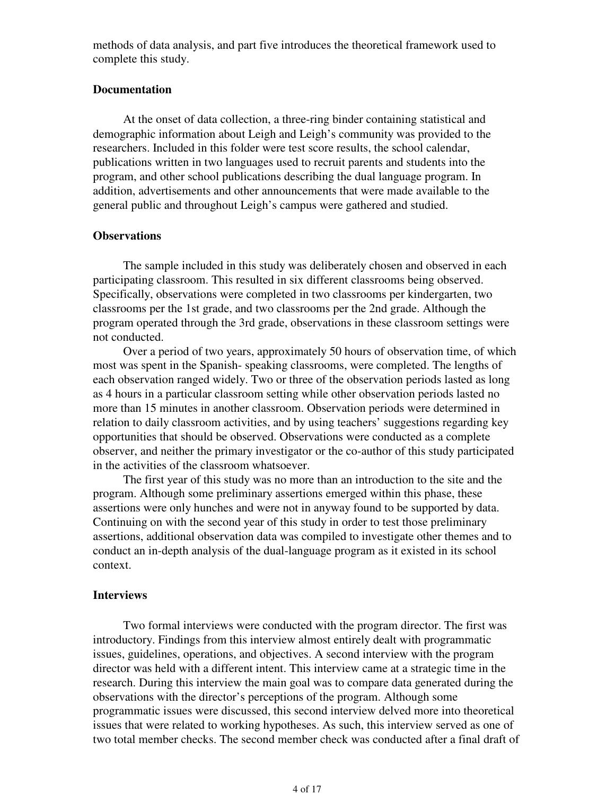methods of data analysis, and part five introduces the theoretical framework used to complete this study.

#### **Documentation**

 At the onset of data collection, a three-ring binder containing statistical and demographic information about Leigh and Leigh's community was provided to the researchers. Included in this folder were test score results, the school calendar, publications written in two languages used to recruit parents and students into the program, and other school publications describing the dual language program. In addition, advertisements and other announcements that were made available to the general public and throughout Leigh's campus were gathered and studied.

#### **Observations**

 The sample included in this study was deliberately chosen and observed in each participating classroom. This resulted in six different classrooms being observed. Specifically, observations were completed in two classrooms per kindergarten, two classrooms per the 1st grade, and two classrooms per the 2nd grade. Although the program operated through the 3rd grade, observations in these classroom settings were not conducted.

 Over a period of two years, approximately 50 hours of observation time, of which most was spent in the Spanish- speaking classrooms, were completed. The lengths of each observation ranged widely. Two or three of the observation periods lasted as long as 4 hours in a particular classroom setting while other observation periods lasted no more than 15 minutes in another classroom. Observation periods were determined in relation to daily classroom activities, and by using teachers' suggestions regarding key opportunities that should be observed. Observations were conducted as a complete observer, and neither the primary investigator or the co-author of this study participated in the activities of the classroom whatsoever.

 The first year of this study was no more than an introduction to the site and the program. Although some preliminary assertions emerged within this phase, these assertions were only hunches and were not in anyway found to be supported by data. Continuing on with the second year of this study in order to test those preliminary assertions, additional observation data was compiled to investigate other themes and to conduct an in-depth analysis of the dual-language program as it existed in its school context.

#### **Interviews**

 Two formal interviews were conducted with the program director. The first was introductory. Findings from this interview almost entirely dealt with programmatic issues, guidelines, operations, and objectives. A second interview with the program director was held with a different intent. This interview came at a strategic time in the research. During this interview the main goal was to compare data generated during the observations with the director's perceptions of the program. Although some programmatic issues were discussed, this second interview delved more into theoretical issues that were related to working hypotheses. As such, this interview served as one of two total member checks. The second member check was conducted after a final draft of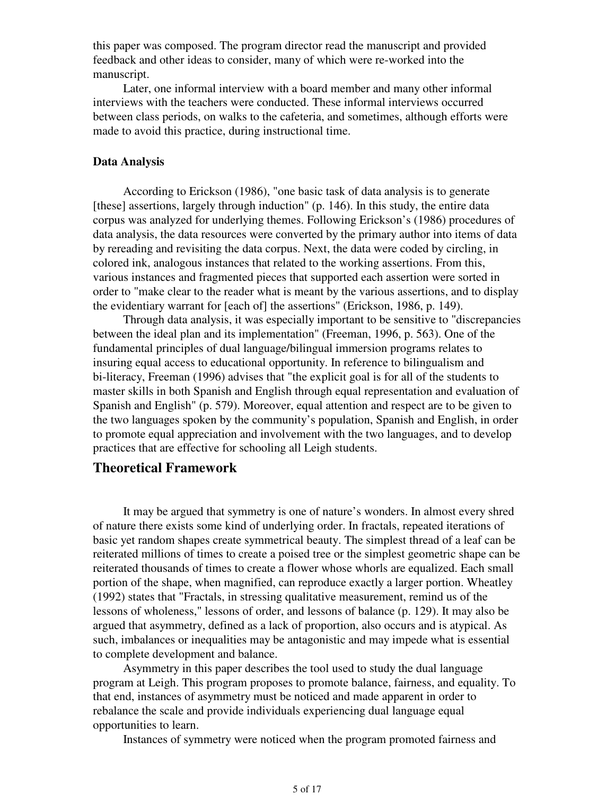this paper was composed. The program director read the manuscript and provided feedback and other ideas to consider, many of which were re-worked into the manuscript.

 Later, one informal interview with a board member and many other informal interviews with the teachers were conducted. These informal interviews occurred between class periods, on walks to the cafeteria, and sometimes, although efforts were made to avoid this practice, during instructional time.

#### **Data Analysis**

 According to Erickson (1986), "one basic task of data analysis is to generate [these] assertions, largely through induction" (p. 146). In this study, the entire data corpus was analyzed for underlying themes. Following Erickson's (1986) procedures of data analysis, the data resources were converted by the primary author into items of data by rereading and revisiting the data corpus. Next, the data were coded by circling, in colored ink, analogous instances that related to the working assertions. From this, various instances and fragmented pieces that supported each assertion were sorted in order to "make clear to the reader what is meant by the various assertions, and to display the evidentiary warrant for [each of] the assertions" (Erickson, 1986, p. 149).

 Through data analysis, it was especially important to be sensitive to "discrepancies between the ideal plan and its implementation" (Freeman, 1996, p. 563). One of the fundamental principles of dual language/bilingual immersion programs relates to insuring equal access to educational opportunity. In reference to bilingualism and bi-literacy, Freeman (1996) advises that "the explicit goal is for all of the students to master skills in both Spanish and English through equal representation and evaluation of Spanish and English" (p. 579). Moreover, equal attention and respect are to be given to the two languages spoken by the community's population, Spanish and English, in order to promote equal appreciation and involvement with the two languages, and to develop practices that are effective for schooling all Leigh students.

## **Theoretical Framework**

 It may be argued that symmetry is one of nature's wonders. In almost every shred of nature there exists some kind of underlying order. In fractals, repeated iterations of basic yet random shapes create symmetrical beauty. The simplest thread of a leaf can be reiterated millions of times to create a poised tree or the simplest geometric shape can be reiterated thousands of times to create a flower whose whorls are equalized. Each small portion of the shape, when magnified, can reproduce exactly a larger portion. Wheatley (1992) states that "Fractals, in stressing qualitative measurement, remind us of the lessons of wholeness," lessons of order, and lessons of balance (p. 129). It may also be argued that asymmetry, defined as a lack of proportion, also occurs and is atypical. As such, imbalances or inequalities may be antagonistic and may impede what is essential to complete development and balance.

 Asymmetry in this paper describes the tool used to study the dual language program at Leigh. This program proposes to promote balance, fairness, and equality. To that end, instances of asymmetry must be noticed and made apparent in order to rebalance the scale and provide individuals experiencing dual language equal opportunities to learn.

Instances of symmetry were noticed when the program promoted fairness and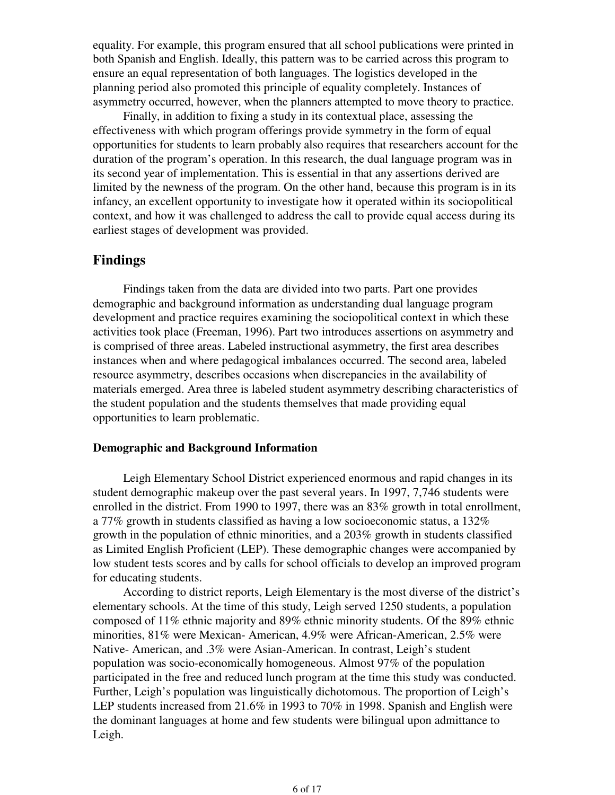equality. For example, this program ensured that all school publications were printed in both Spanish and English. Ideally, this pattern was to be carried across this program to ensure an equal representation of both languages. The logistics developed in the planning period also promoted this principle of equality completely. Instances of asymmetry occurred, however, when the planners attempted to move theory to practice.

 Finally, in addition to fixing a study in its contextual place, assessing the effectiveness with which program offerings provide symmetry in the form of equal opportunities for students to learn probably also requires that researchers account for the duration of the program's operation. In this research, the dual language program was in its second year of implementation. This is essential in that any assertions derived are limited by the newness of the program. On the other hand, because this program is in its infancy, an excellent opportunity to investigate how it operated within its sociopolitical context, and how it was challenged to address the call to provide equal access during its earliest stages of development was provided.

# **Findings**

 Findings taken from the data are divided into two parts. Part one provides demographic and background information as understanding dual language program development and practice requires examining the sociopolitical context in which these activities took place (Freeman, 1996). Part two introduces assertions on asymmetry and is comprised of three areas. Labeled instructional asymmetry, the first area describes instances when and where pedagogical imbalances occurred. The second area, labeled resource asymmetry, describes occasions when discrepancies in the availability of materials emerged. Area three is labeled student asymmetry describing characteristics of the student population and the students themselves that made providing equal opportunities to learn problematic.

#### **Demographic and Background Information**

 Leigh Elementary School District experienced enormous and rapid changes in its student demographic makeup over the past several years. In 1997, 7,746 students were enrolled in the district. From 1990 to 1997, there was an 83% growth in total enrollment, a 77% growth in students classified as having a low socioeconomic status, a 132% growth in the population of ethnic minorities, and a 203% growth in students classified as Limited English Proficient (LEP). These demographic changes were accompanied by low student tests scores and by calls for school officials to develop an improved program for educating students.

 According to district reports, Leigh Elementary is the most diverse of the district's elementary schools. At the time of this study, Leigh served 1250 students, a population composed of 11% ethnic majority and 89% ethnic minority students. Of the 89% ethnic minorities, 81% were Mexican- American, 4.9% were African-American, 2.5% were Native- American, and .3% were Asian-American. In contrast, Leigh's student population was socio-economically homogeneous. Almost 97% of the population participated in the free and reduced lunch program at the time this study was conducted. Further, Leigh's population was linguistically dichotomous. The proportion of Leigh's LEP students increased from 21.6% in 1993 to 70% in 1998. Spanish and English were the dominant languages at home and few students were bilingual upon admittance to Leigh.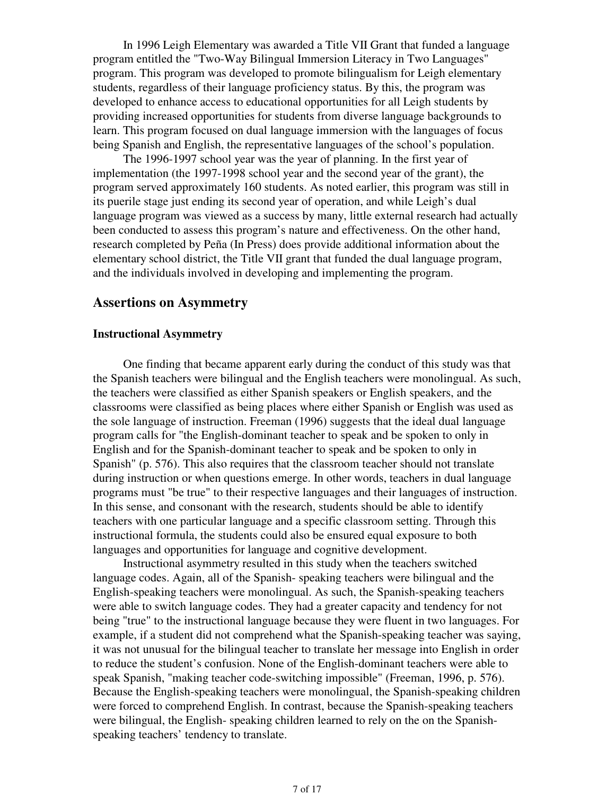In 1996 Leigh Elementary was awarded a Title VII Grant that funded a language program entitled the "Two-Way Bilingual Immersion Literacy in Two Languages" program. This program was developed to promote bilingualism for Leigh elementary students, regardless of their language proficiency status. By this, the program was developed to enhance access to educational opportunities for all Leigh students by providing increased opportunities for students from diverse language backgrounds to learn. This program focused on dual language immersion with the languages of focus being Spanish and English, the representative languages of the school's population.

 The 1996-1997 school year was the year of planning. In the first year of implementation (the 1997-1998 school year and the second year of the grant), the program served approximately 160 students. As noted earlier, this program was still in its puerile stage just ending its second year of operation, and while Leigh's dual language program was viewed as a success by many, little external research had actually been conducted to assess this program's nature and effectiveness. On the other hand, research completed by Peña (In Press) does provide additional information about the elementary school district, the Title VII grant that funded the dual language program, and the individuals involved in developing and implementing the program.

## **Assertions on Asymmetry**

#### **Instructional Asymmetry**

 One finding that became apparent early during the conduct of this study was that the Spanish teachers were bilingual and the English teachers were monolingual. As such, the teachers were classified as either Spanish speakers or English speakers, and the classrooms were classified as being places where either Spanish or English was used as the sole language of instruction. Freeman (1996) suggests that the ideal dual language program calls for "the English-dominant teacher to speak and be spoken to only in English and for the Spanish-dominant teacher to speak and be spoken to only in Spanish" (p. 576). This also requires that the classroom teacher should not translate during instruction or when questions emerge. In other words, teachers in dual language programs must "be true" to their respective languages and their languages of instruction. In this sense, and consonant with the research, students should be able to identify teachers with one particular language and a specific classroom setting. Through this instructional formula, the students could also be ensured equal exposure to both languages and opportunities for language and cognitive development.

 Instructional asymmetry resulted in this study when the teachers switched language codes. Again, all of the Spanish- speaking teachers were bilingual and the English-speaking teachers were monolingual. As such, the Spanish-speaking teachers were able to switch language codes. They had a greater capacity and tendency for not being "true" to the instructional language because they were fluent in two languages. For example, if a student did not comprehend what the Spanish-speaking teacher was saying, it was not unusual for the bilingual teacher to translate her message into English in order to reduce the student's confusion. None of the English-dominant teachers were able to speak Spanish, "making teacher code-switching impossible" (Freeman, 1996, p. 576). Because the English-speaking teachers were monolingual, the Spanish-speaking children were forced to comprehend English. In contrast, because the Spanish-speaking teachers were bilingual, the English- speaking children learned to rely on the on the Spanishspeaking teachers' tendency to translate.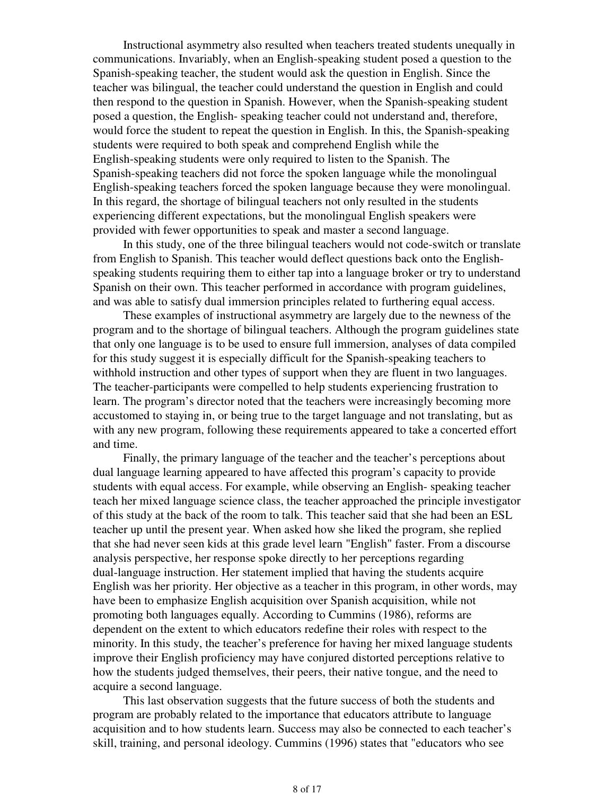Instructional asymmetry also resulted when teachers treated students unequally in communications. Invariably, when an English-speaking student posed a question to the Spanish-speaking teacher, the student would ask the question in English. Since the teacher was bilingual, the teacher could understand the question in English and could then respond to the question in Spanish. However, when the Spanish-speaking student posed a question, the English- speaking teacher could not understand and, therefore, would force the student to repeat the question in English. In this, the Spanish-speaking students were required to both speak and comprehend English while the English-speaking students were only required to listen to the Spanish. The Spanish-speaking teachers did not force the spoken language while the monolingual English-speaking teachers forced the spoken language because they were monolingual. In this regard, the shortage of bilingual teachers not only resulted in the students experiencing different expectations, but the monolingual English speakers were provided with fewer opportunities to speak and master a second language.

 In this study, one of the three bilingual teachers would not code-switch or translate from English to Spanish. This teacher would deflect questions back onto the Englishspeaking students requiring them to either tap into a language broker or try to understand Spanish on their own. This teacher performed in accordance with program guidelines, and was able to satisfy dual immersion principles related to furthering equal access.

 These examples of instructional asymmetry are largely due to the newness of the program and to the shortage of bilingual teachers. Although the program guidelines state that only one language is to be used to ensure full immersion, analyses of data compiled for this study suggest it is especially difficult for the Spanish-speaking teachers to withhold instruction and other types of support when they are fluent in two languages. The teacher-participants were compelled to help students experiencing frustration to learn. The program's director noted that the teachers were increasingly becoming more accustomed to staying in, or being true to the target language and not translating, but as with any new program, following these requirements appeared to take a concerted effort and time.

 Finally, the primary language of the teacher and the teacher's perceptions about dual language learning appeared to have affected this program's capacity to provide students with equal access. For example, while observing an English- speaking teacher teach her mixed language science class, the teacher approached the principle investigator of this study at the back of the room to talk. This teacher said that she had been an ESL teacher up until the present year. When asked how she liked the program, she replied that she had never seen kids at this grade level learn "English" faster. From a discourse analysis perspective, her response spoke directly to her perceptions regarding dual-language instruction. Her statement implied that having the students acquire English was her priority. Her objective as a teacher in this program, in other words, may have been to emphasize English acquisition over Spanish acquisition, while not promoting both languages equally. According to Cummins (1986), reforms are dependent on the extent to which educators redefine their roles with respect to the minority. In this study, the teacher's preference for having her mixed language students improve their English proficiency may have conjured distorted perceptions relative to how the students judged themselves, their peers, their native tongue, and the need to acquire a second language.

 This last observation suggests that the future success of both the students and program are probably related to the importance that educators attribute to language acquisition and to how students learn. Success may also be connected to each teacher's skill, training, and personal ideology. Cummins (1996) states that "educators who see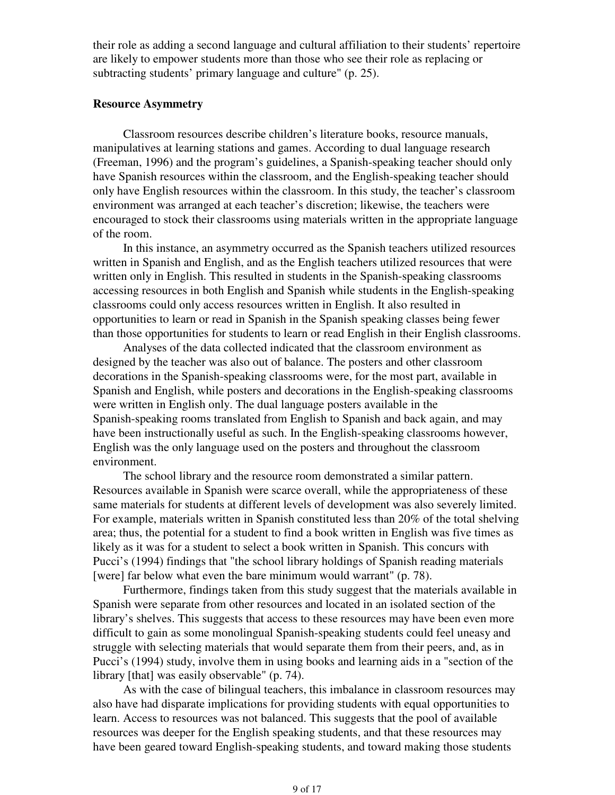their role as adding a second language and cultural affiliation to their students' repertoire are likely to empower students more than those who see their role as replacing or subtracting students' primary language and culture" (p. 25).

#### **Resource Asymmetry**

 Classroom resources describe children's literature books, resource manuals, manipulatives at learning stations and games. According to dual language research (Freeman, 1996) and the program's guidelines, a Spanish-speaking teacher should only have Spanish resources within the classroom, and the English-speaking teacher should only have English resources within the classroom. In this study, the teacher's classroom environment was arranged at each teacher's discretion; likewise, the teachers were encouraged to stock their classrooms using materials written in the appropriate language of the room.

 In this instance, an asymmetry occurred as the Spanish teachers utilized resources written in Spanish and English, and as the English teachers utilized resources that were written only in English. This resulted in students in the Spanish-speaking classrooms accessing resources in both English and Spanish while students in the English-speaking classrooms could only access resources written in English. It also resulted in opportunities to learn or read in Spanish in the Spanish speaking classes being fewer than those opportunities for students to learn or read English in their English classrooms.

 Analyses of the data collected indicated that the classroom environment as designed by the teacher was also out of balance. The posters and other classroom decorations in the Spanish-speaking classrooms were, for the most part, available in Spanish and English, while posters and decorations in the English-speaking classrooms were written in English only. The dual language posters available in the Spanish-speaking rooms translated from English to Spanish and back again, and may have been instructionally useful as such. In the English-speaking classrooms however, English was the only language used on the posters and throughout the classroom environment.

 The school library and the resource room demonstrated a similar pattern. Resources available in Spanish were scarce overall, while the appropriateness of these same materials for students at different levels of development was also severely limited. For example, materials written in Spanish constituted less than 20% of the total shelving area; thus, the potential for a student to find a book written in English was five times as likely as it was for a student to select a book written in Spanish. This concurs with Pucci's (1994) findings that "the school library holdings of Spanish reading materials [were] far below what even the bare minimum would warrant" (p. 78).

 Furthermore, findings taken from this study suggest that the materials available in Spanish were separate from other resources and located in an isolated section of the library's shelves. This suggests that access to these resources may have been even more difficult to gain as some monolingual Spanish-speaking students could feel uneasy and struggle with selecting materials that would separate them from their peers, and, as in Pucci's (1994) study, involve them in using books and learning aids in a "section of the library [that] was easily observable" (p. 74).

 As with the case of bilingual teachers, this imbalance in classroom resources may also have had disparate implications for providing students with equal opportunities to learn. Access to resources was not balanced. This suggests that the pool of available resources was deeper for the English speaking students, and that these resources may have been geared toward English-speaking students, and toward making those students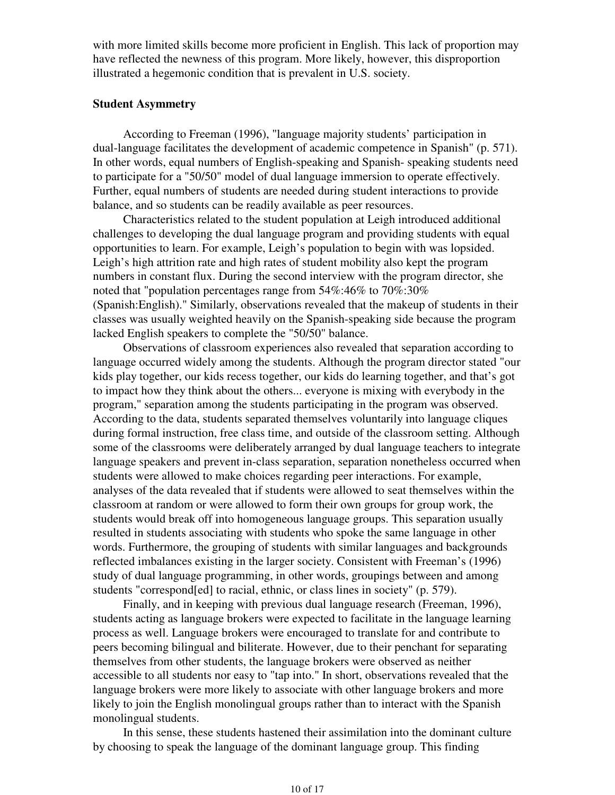with more limited skills become more proficient in English. This lack of proportion may have reflected the newness of this program. More likely, however, this disproportion illustrated a hegemonic condition that is prevalent in U.S. society.

#### **Student Asymmetry**

 According to Freeman (1996), "language majority students' participation in dual-language facilitates the development of academic competence in Spanish" (p. 571). In other words, equal numbers of English-speaking and Spanish- speaking students need to participate for a "50/50" model of dual language immersion to operate effectively. Further, equal numbers of students are needed during student interactions to provide balance, and so students can be readily available as peer resources.

 Characteristics related to the student population at Leigh introduced additional challenges to developing the dual language program and providing students with equal opportunities to learn. For example, Leigh's population to begin with was lopsided. Leigh's high attrition rate and high rates of student mobility also kept the program numbers in constant flux. During the second interview with the program director, she noted that "population percentages range from 54%:46% to 70%:30% (Spanish:English)." Similarly, observations revealed that the makeup of students in their classes was usually weighted heavily on the Spanish-speaking side because the program lacked English speakers to complete the "50/50" balance.

 Observations of classroom experiences also revealed that separation according to language occurred widely among the students. Although the program director stated "our kids play together, our kids recess together, our kids do learning together, and that's got to impact how they think about the others... everyone is mixing with everybody in the program," separation among the students participating in the program was observed. According to the data, students separated themselves voluntarily into language cliques during formal instruction, free class time, and outside of the classroom setting. Although some of the classrooms were deliberately arranged by dual language teachers to integrate language speakers and prevent in-class separation, separation nonetheless occurred when students were allowed to make choices regarding peer interactions. For example, analyses of the data revealed that if students were allowed to seat themselves within the classroom at random or were allowed to form their own groups for group work, the students would break off into homogeneous language groups. This separation usually resulted in students associating with students who spoke the same language in other words. Furthermore, the grouping of students with similar languages and backgrounds reflected imbalances existing in the larger society. Consistent with Freeman's (1996) study of dual language programming, in other words, groupings between and among students "correspond[ed] to racial, ethnic, or class lines in society" (p. 579).

 Finally, and in keeping with previous dual language research (Freeman, 1996), students acting as language brokers were expected to facilitate in the language learning process as well. Language brokers were encouraged to translate for and contribute to peers becoming bilingual and biliterate. However, due to their penchant for separating themselves from other students, the language brokers were observed as neither accessible to all students nor easy to "tap into." In short, observations revealed that the language brokers were more likely to associate with other language brokers and more likely to join the English monolingual groups rather than to interact with the Spanish monolingual students.

 In this sense, these students hastened their assimilation into the dominant culture by choosing to speak the language of the dominant language group. This finding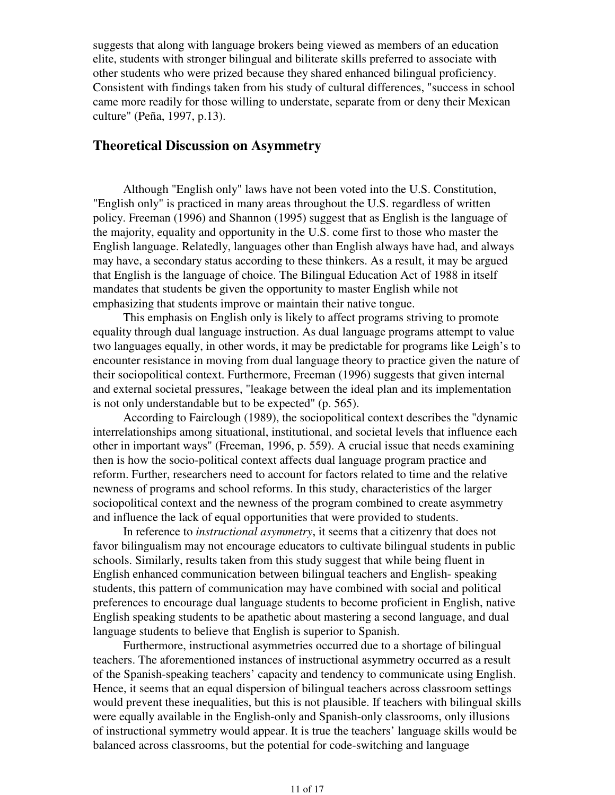suggests that along with language brokers being viewed as members of an education elite, students with stronger bilingual and biliterate skills preferred to associate with other students who were prized because they shared enhanced bilingual proficiency. Consistent with findings taken from his study of cultural differences, "success in school came more readily for those willing to understate, separate from or deny their Mexican culture" (Peña, 1997, p.13).

# **Theoretical Discussion on Asymmetry**

 Although "English only" laws have not been voted into the U.S. Constitution, "English only" is practiced in many areas throughout the U.S. regardless of written policy. Freeman (1996) and Shannon (1995) suggest that as English is the language of the majority, equality and opportunity in the U.S. come first to those who master the English language. Relatedly, languages other than English always have had, and always may have, a secondary status according to these thinkers. As a result, it may be argued that English is the language of choice. The Bilingual Education Act of 1988 in itself mandates that students be given the opportunity to master English while not emphasizing that students improve or maintain their native tongue.

 This emphasis on English only is likely to affect programs striving to promote equality through dual language instruction. As dual language programs attempt to value two languages equally, in other words, it may be predictable for programs like Leigh's to encounter resistance in moving from dual language theory to practice given the nature of their sociopolitical context. Furthermore, Freeman (1996) suggests that given internal and external societal pressures, "leakage between the ideal plan and its implementation is not only understandable but to be expected" (p. 565).

 According to Fairclough (1989), the sociopolitical context describes the "dynamic interrelationships among situational, institutional, and societal levels that influence each other in important ways" (Freeman, 1996, p. 559). A crucial issue that needs examining then is how the socio-political context affects dual language program practice and reform. Further, researchers need to account for factors related to time and the relative newness of programs and school reforms. In this study, characteristics of the larger sociopolitical context and the newness of the program combined to create asymmetry and influence the lack of equal opportunities that were provided to students.

 In reference to *instructional asymmetry*, it seems that a citizenry that does not favor bilingualism may not encourage educators to cultivate bilingual students in public schools. Similarly, results taken from this study suggest that while being fluent in English enhanced communication between bilingual teachers and English- speaking students, this pattern of communication may have combined with social and political preferences to encourage dual language students to become proficient in English, native English speaking students to be apathetic about mastering a second language, and dual language students to believe that English is superior to Spanish.

 Furthermore, instructional asymmetries occurred due to a shortage of bilingual teachers. The aforementioned instances of instructional asymmetry occurred as a result of the Spanish-speaking teachers' capacity and tendency to communicate using English. Hence, it seems that an equal dispersion of bilingual teachers across classroom settings would prevent these inequalities, but this is not plausible. If teachers with bilingual skills were equally available in the English-only and Spanish-only classrooms, only illusions of instructional symmetry would appear. It is true the teachers' language skills would be balanced across classrooms, but the potential for code-switching and language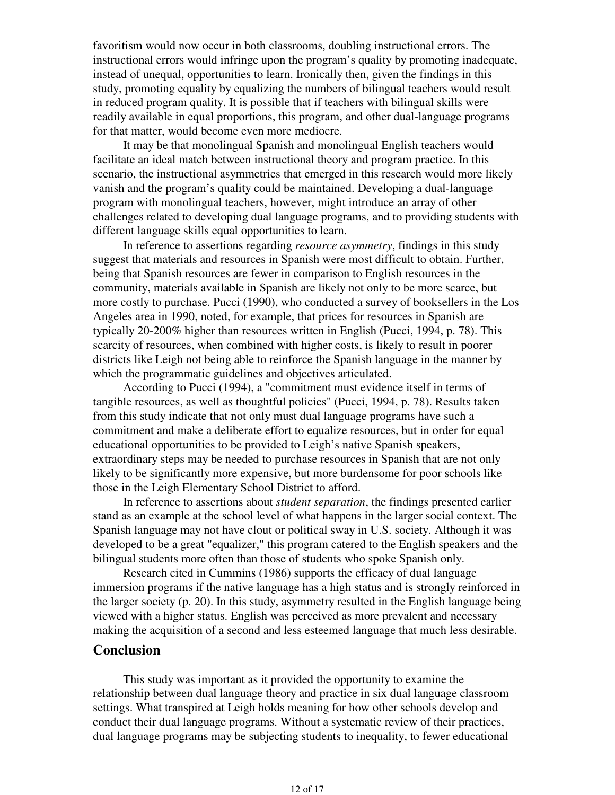favoritism would now occur in both classrooms, doubling instructional errors. The instructional errors would infringe upon the program's quality by promoting inadequate, instead of unequal, opportunities to learn. Ironically then, given the findings in this study, promoting equality by equalizing the numbers of bilingual teachers would result in reduced program quality. It is possible that if teachers with bilingual skills were readily available in equal proportions, this program, and other dual-language programs for that matter, would become even more mediocre.

 It may be that monolingual Spanish and monolingual English teachers would facilitate an ideal match between instructional theory and program practice. In this scenario, the instructional asymmetries that emerged in this research would more likely vanish and the program's quality could be maintained. Developing a dual-language program with monolingual teachers, however, might introduce an array of other challenges related to developing dual language programs, and to providing students with different language skills equal opportunities to learn.

 In reference to assertions regarding *resource asymmetry*, findings in this study suggest that materials and resources in Spanish were most difficult to obtain. Further, being that Spanish resources are fewer in comparison to English resources in the community, materials available in Spanish are likely not only to be more scarce, but more costly to purchase. Pucci (1990), who conducted a survey of booksellers in the Los Angeles area in 1990, noted, for example, that prices for resources in Spanish are typically 20-200% higher than resources written in English (Pucci, 1994, p. 78). This scarcity of resources, when combined with higher costs, is likely to result in poorer districts like Leigh not being able to reinforce the Spanish language in the manner by which the programmatic guidelines and objectives articulated.

 According to Pucci (1994), a "commitment must evidence itself in terms of tangible resources, as well as thoughtful policies" (Pucci, 1994, p. 78). Results taken from this study indicate that not only must dual language programs have such a commitment and make a deliberate effort to equalize resources, but in order for equal educational opportunities to be provided to Leigh's native Spanish speakers, extraordinary steps may be needed to purchase resources in Spanish that are not only likely to be significantly more expensive, but more burdensome for poor schools like those in the Leigh Elementary School District to afford.

 In reference to assertions about *student separation*, the findings presented earlier stand as an example at the school level of what happens in the larger social context. The Spanish language may not have clout or political sway in U.S. society. Although it was developed to be a great "equalizer," this program catered to the English speakers and the bilingual students more often than those of students who spoke Spanish only.

 Research cited in Cummins (1986) supports the efficacy of dual language immersion programs if the native language has a high status and is strongly reinforced in the larger society (p. 20). In this study, asymmetry resulted in the English language being viewed with a higher status. English was perceived as more prevalent and necessary making the acquisition of a second and less esteemed language that much less desirable.

## **Conclusion**

 This study was important as it provided the opportunity to examine the relationship between dual language theory and practice in six dual language classroom settings. What transpired at Leigh holds meaning for how other schools develop and conduct their dual language programs. Without a systematic review of their practices, dual language programs may be subjecting students to inequality, to fewer educational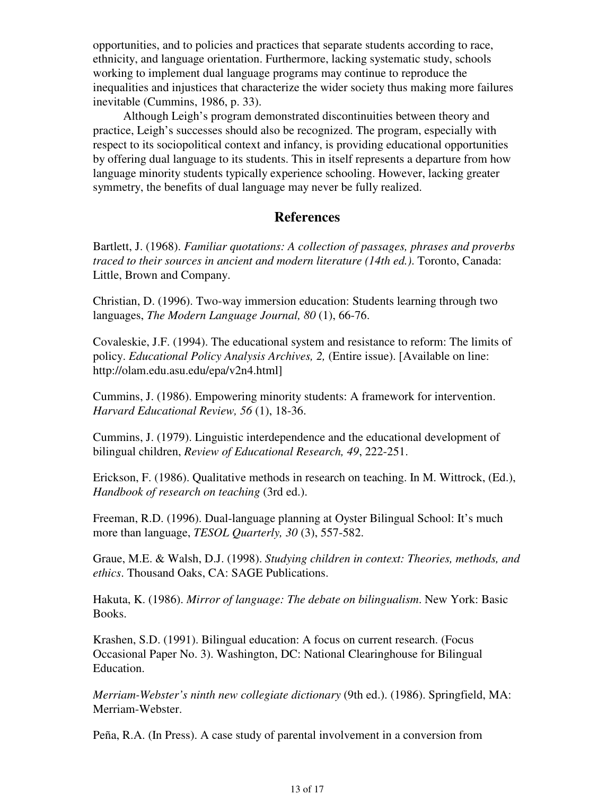opportunities, and to policies and practices that separate students according to race, ethnicity, and language orientation. Furthermore, lacking systematic study, schools working to implement dual language programs may continue to reproduce the inequalities and injustices that characterize the wider society thus making more failures inevitable (Cummins, 1986, p. 33).

 Although Leigh's program demonstrated discontinuities between theory and practice, Leigh's successes should also be recognized. The program, especially with respect to its sociopolitical context and infancy, is providing educational opportunities by offering dual language to its students. This in itself represents a departure from how language minority students typically experience schooling. However, lacking greater symmetry, the benefits of dual language may never be fully realized.

# **References**

Bartlett, J. (1968). *Familiar quotations: A collection of passages, phrases and proverbs traced to their sources in ancient and modern literature (14th ed.)*. Toronto, Canada: Little, Brown and Company.

Christian, D. (1996). Two-way immersion education: Students learning through two languages, *The Modern Language Journal, 80* (1), 66-76.

Covaleskie, J.F. (1994). The educational system and resistance to reform: The limits of policy. *Educational Policy Analysis Archives, 2,* (Entire issue). [Available on line: http://olam.edu.asu.edu/epa/v2n4.html]

Cummins, J. (1986). Empowering minority students: A framework for intervention. *Harvard Educational Review, 56* (1), 18-36.

Cummins, J. (1979). Linguistic interdependence and the educational development of bilingual children, *Review of Educational Research, 49*, 222-251.

Erickson, F. (1986). Qualitative methods in research on teaching. In M. Wittrock, (Ed.), *Handbook of research on teaching* (3rd ed.).

Freeman, R.D. (1996). Dual-language planning at Oyster Bilingual School: It's much more than language, *TESOL Quarterly, 30* (3), 557-582.

Graue, M.E. & Walsh, D.J. (1998). *Studying children in context: Theories, methods, and ethics*. Thousand Oaks, CA: SAGE Publications.

Hakuta, K. (1986). *Mirror of language: The debate on bilingualism*. New York: Basic Books.

Krashen, S.D. (1991). Bilingual education: A focus on current research. (Focus Occasional Paper No. 3). Washington, DC: National Clearinghouse for Bilingual Education.

*Merriam-Webster's ninth new collegiate dictionary* (9th ed.). (1986). Springfield, MA: Merriam-Webster.

Peña, R.A. (In Press). A case study of parental involvement in a conversion from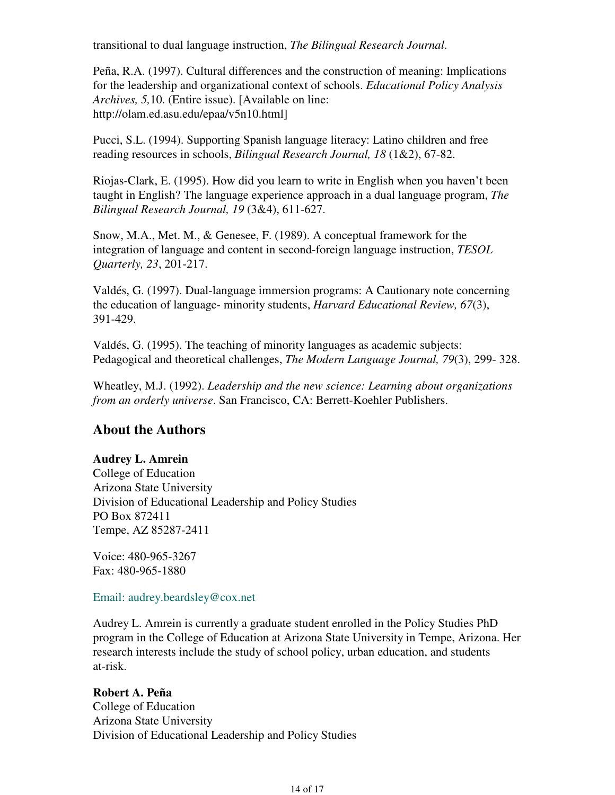transitional to dual language instruction, *The Bilingual Research Journal*.

Peña, R.A. (1997). Cultural differences and the construction of meaning: Implications for the leadership and organizational context of schools. *Educational Policy Analysis Archives, 5,*10. (Entire issue). [Available on line: http://olam.ed.asu.edu/epaa/v5n10.html]

Pucci, S.L. (1994). Supporting Spanish language literacy: Latino children and free reading resources in schools, *Bilingual Research Journal, 18* (1&2), 67-82.

Riojas-Clark, E. (1995). How did you learn to write in English when you haven't been taught in English? The language experience approach in a dual language program, *The Bilingual Research Journal, 19* (3&4), 611-627.

Snow, M.A., Met. M., & Genesee, F. (1989). A conceptual framework for the integration of language and content in second-foreign language instruction, *TESOL Quarterly, 23*, 201-217.

Valdés, G. (1997). Dual-language immersion programs: A Cautionary note concerning the education of language- minority students, *Harvard Educational Review, 67*(3), 391-429.

Valdés, G. (1995). The teaching of minority languages as academic subjects: Pedagogical and theoretical challenges, *The Modern Language Journal, 79*(3), 299- 328.

Wheatley, M.J. (1992). *Leadership and the new science: Learning about organizations from an orderly universe*. San Francisco, CA: Berrett-Koehler Publishers.

# **About the Authors**

### **Audrey L. Amrein**

College of Education Arizona State University Division of Educational Leadership and Policy Studies PO Box 872411 Tempe, AZ 85287-2411

Voice: 480-965-3267 Fax: 480-965-1880

#### Email: audrey.beardsley@cox.net

Audrey L. Amrein is currently a graduate student enrolled in the Policy Studies PhD program in the College of Education at Arizona State University in Tempe, Arizona. Her research interests include the study of school policy, urban education, and students at-risk.

### **Robert A. Peña**

College of Education Arizona State University Division of Educational Leadership and Policy Studies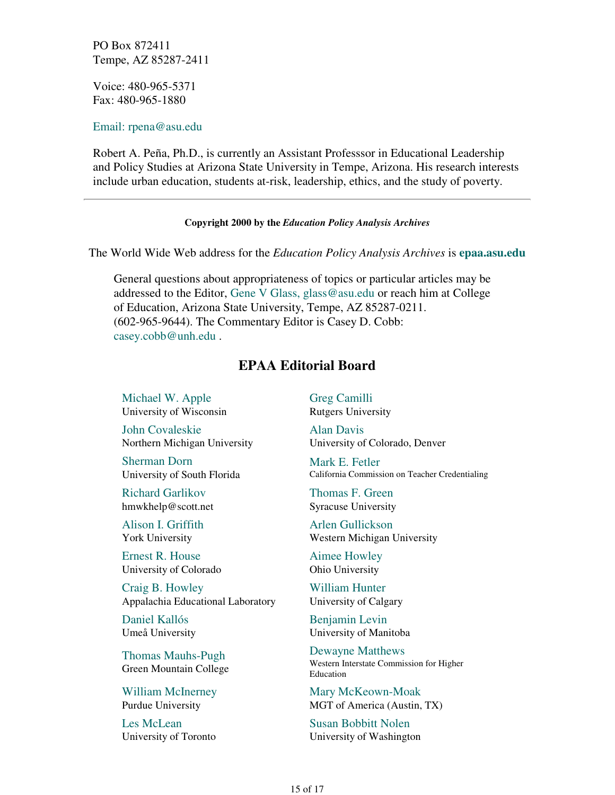PO Box 872411 Tempe, AZ 85287-2411

Voice: 480-965-5371 Fax: 480-965-1880

Email: rpena@asu.edu

Robert A. Peña, Ph.D., is currently an Assistant Professsor in Educational Leadership and Policy Studies at Arizona State University in Tempe, Arizona. His research interests include urban education, students at-risk, leadership, ethics, and the study of poverty.

#### **Copyright 2000 by the** *Education Policy Analysis Archives*

The World Wide Web address for the *Education Policy Analysis Archives* is **epaa.asu.edu**

General questions about appropriateness of topics or particular articles may be addressed to the Editor, Gene V Glass, glass@asu.edu or reach him at College of Education, Arizona State University, Tempe, AZ 85287-0211. (602-965-9644). The Commentary Editor is Casey D. Cobb: casey.cobb@unh.edu .

# **EPAA Editorial Board**

Michael W. Apple University of Wisconsin

John Covaleskie Northern Michigan University

Sherman Dorn University of South Florida

Richard Garlikov hmwkhelp@scott.net

Alison I. Griffith York University

Ernest R. House University of Colorado

Craig B. Howley Appalachia Educational Laboratory

Daniel Kallós Umeå University

Thomas Mauhs-Pugh Green Mountain College

William McInerney Purdue University

Les McLean University of Toronto Greg Camilli Rutgers University

Alan Davis University of Colorado, Denver

Mark E. Fetler California Commission on Teacher Credentialing

Thomas F. Green Syracuse University

Arlen Gullickson Western Michigan University

Aimee Howley Ohio University

William Hunter University of Calgary

Benjamin Levin University of Manitoba

Dewayne Matthews Western Interstate Commission for Higher Education

Mary McKeown-Moak MGT of America (Austin, TX)

Susan Bobbitt Nolen University of Washington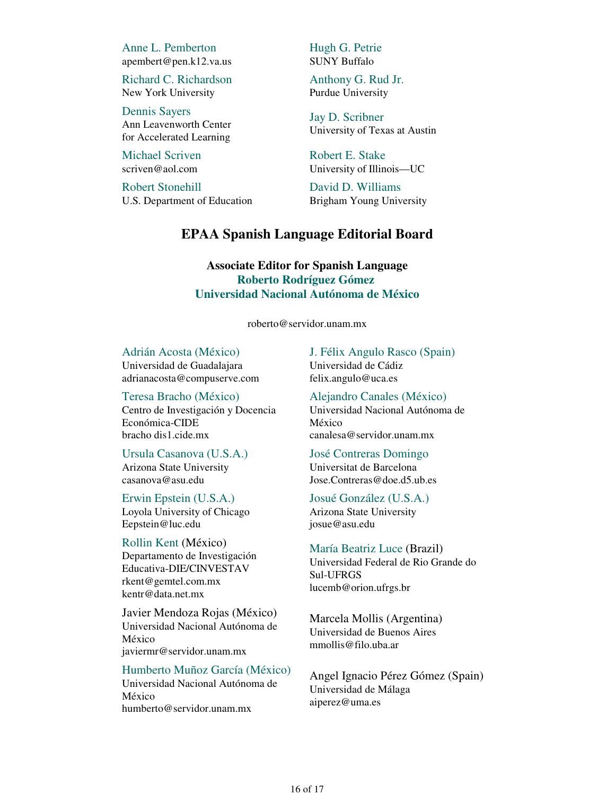Anne L. Pemberton apembert@pen.k12.va.us

Richard C. Richardson New York University

Dennis Sayers Ann Leavenworth Center for Accelerated Learning

Michael Scriven scriven@aol.com

Robert Stonehill U.S. Department of Education Hugh G. Petrie SUNY Buffalo

Anthony G. Rud Jr. Purdue University

Jay D. Scribner University of Texas at Austin

Robert E. Stake University of Illinois—UC

David D. Williams Brigham Young University

# **EPAA Spanish Language Editorial Board**

## **Associate Editor for Spanish Language Roberto Rodríguez Gómez Universidad Nacional Autónoma de México**

roberto@servidor.unam.mx

Adrián Acosta (México) Universidad de Guadalajara adrianacosta@compuserve.com

Teresa Bracho (México) Centro de Investigación y Docencia Económica-CIDE

bracho dis1.cide.mx

Ursula Casanova (U.S.A.) Arizona State University casanova@asu.edu

Erwin Epstein (U.S.A.) Loyola University of Chicago Eepstein@luc.edu

Rollin Kent (México) Departamento de Investigación Educativa-DIE/CINVESTAV rkent@gemtel.com.mx kentr@data.net.mx

Javier Mendoza Rojas (México) Universidad Nacional Autónoma de México javiermr@servidor.unam.mx

Humberto Muñoz García (México)

Universidad Nacional Autónoma de México humberto@servidor.unam.mx

J. Félix Angulo Rasco (Spain) Universidad de Cádiz felix.angulo@uca.es

Alejandro Canales (México) Universidad Nacional Autónoma de México canalesa@servidor.unam.mx

José Contreras Domingo Universitat de Barcelona Jose.Contreras@doe.d5.ub.es

Josué González (U.S.A.) Arizona State University josue@asu.edu

María Beatriz Luce (Brazil) Universidad Federal de Rio Grande do Sul-UFRGS lucemb@orion.ufrgs.br

Marcela Mollis (Argentina) Universidad de Buenos Aires mmollis@filo.uba.ar

Angel Ignacio Pérez Gómez (Spain) Universidad de Málaga aiperez@uma.es